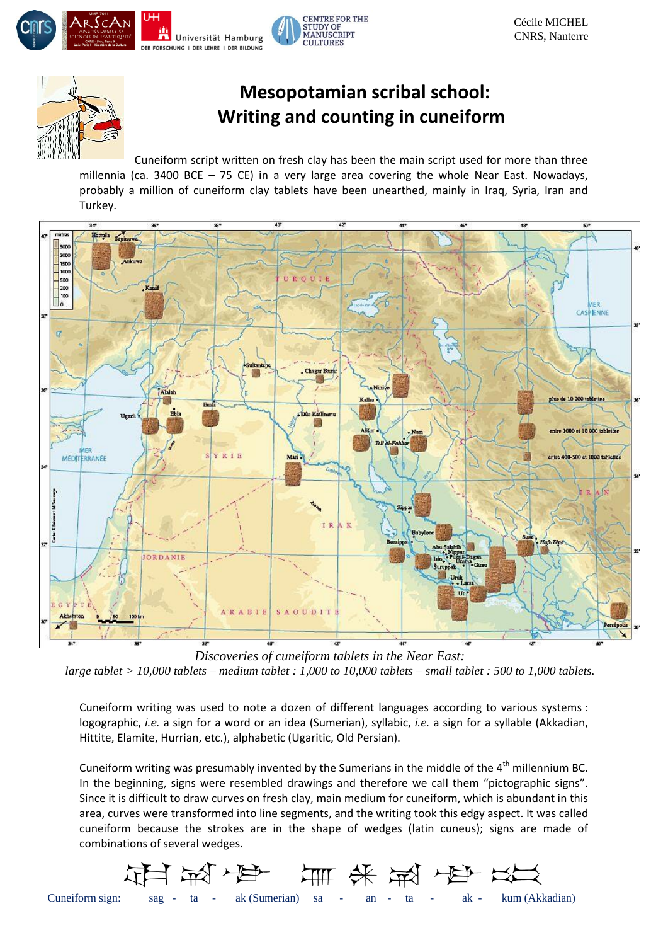



## **Mesopotamian scribal school: Writing and counting in cuneiform**

Cuneiform script written on fresh clay has been the main script used for more than three millennia (ca. 3400 BCE  $-$  75 CE) in a very large area covering the whole Near East. Nowadays, probably a million of cuneiform clay tablets have been unearthed, mainly in Iraq, Syria, Iran and Turkey.



*Discoveries of cuneiform tablets in the Near East: large tablet > 10,000 tablets – medium tablet : 1,000 to 10,000 tablets – small tablet : 500 to 1,000 tablets.*

Cuneiform writing was used to note a dozen of different languages according to various systems : logographic, *i.e.* a sign for a word or an idea (Sumerian), syllabic, *i.e.* a sign for a syllable (Akkadian, Hittite, Elamite, Hurrian, etc.), alphabetic (Ugaritic, Old Persian).

Cuneiform writing was presumably invented by the Sumerians in the middle of the  $4<sup>th</sup>$  millennium BC. In the beginning, signs were resembled drawings and therefore we call them "pictographic signs". Since it is difficult to draw curves on fresh clay, main medium for cuneiform, which is abundant in this area, curves were transformed into line segments, and the writing took this edgy aspect. It was called cuneiform because the strokes are in the shape of wedges (latin cuneus); signs are made of combinations of several wedges.

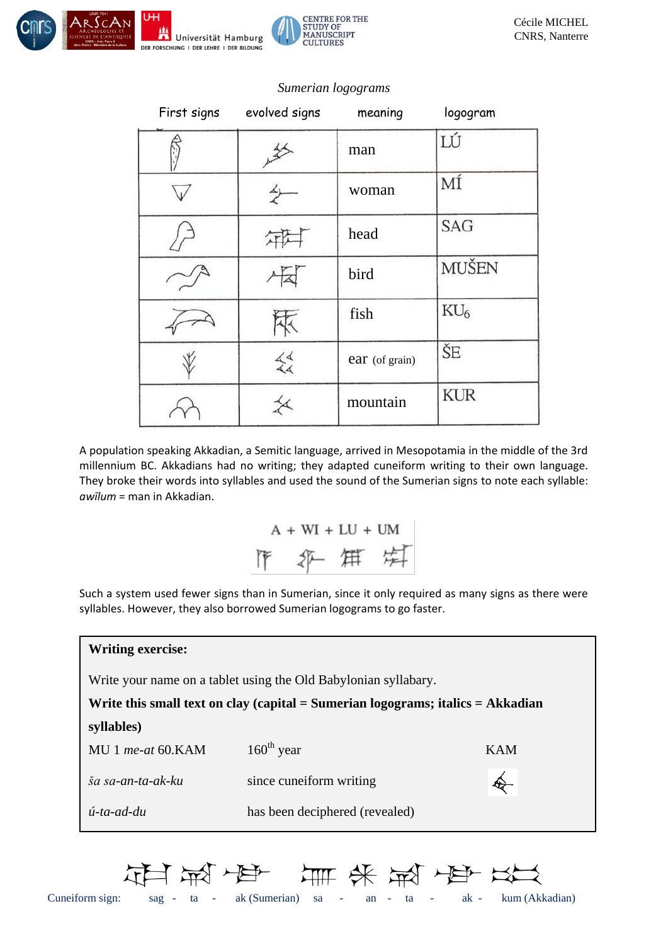



| First signs | evolved signs  | meaning        | logogram   |
|-------------|----------------|----------------|------------|
|             |                | man            | LÚ         |
|             |                | woman          | ΜÍ         |
|             |                | head           | <b>SAG</b> |
|             |                | bird           | MUŠEN      |
|             |                | fish           | $KU_6$     |
|             | $\frac{1}{44}$ | ear (of grain) | ŠE         |
|             | ≰              | mountain       | <b>KUR</b> |

*Sumerian logograms*

A population speaking Akkadian, a Semitic language, arrived in Mesopotamia in the middle of the 3rd millennium BC. Akkadians had no writing; they adapted cuneiform writing to their own language. They broke their words into syllables and used the sound of the Sumerian signs to note each syllable: *awīlum* = man in Akkadian.

> $A + WI + LU + UM$ 作、年后

Such a system used fewer signs than in Sumerian, since it only required as many signs as there were syllables. However, they also borrowed Sumerian logograms to go faster.

| <b>Writing exercise:</b>                                                            |                                |            |  |  |
|-------------------------------------------------------------------------------------|--------------------------------|------------|--|--|
| Write your name on a tablet using the Old Babylonian syllabary.                     |                                |            |  |  |
| Write this small text on clay (capital $=$ Sumerian logograms; italics $=$ Akkadian |                                |            |  |  |
| syllables)                                                                          |                                |            |  |  |
| MU 1 me-at 60.KAM                                                                   | $160th$ year                   | <b>KAM</b> |  |  |
| ša sa-an-ta-ak-ku                                                                   | since cuneiform writing        |            |  |  |
| $\acute{u}$ -ta-ad-du                                                               | has been deciphered (revealed) |            |  |  |

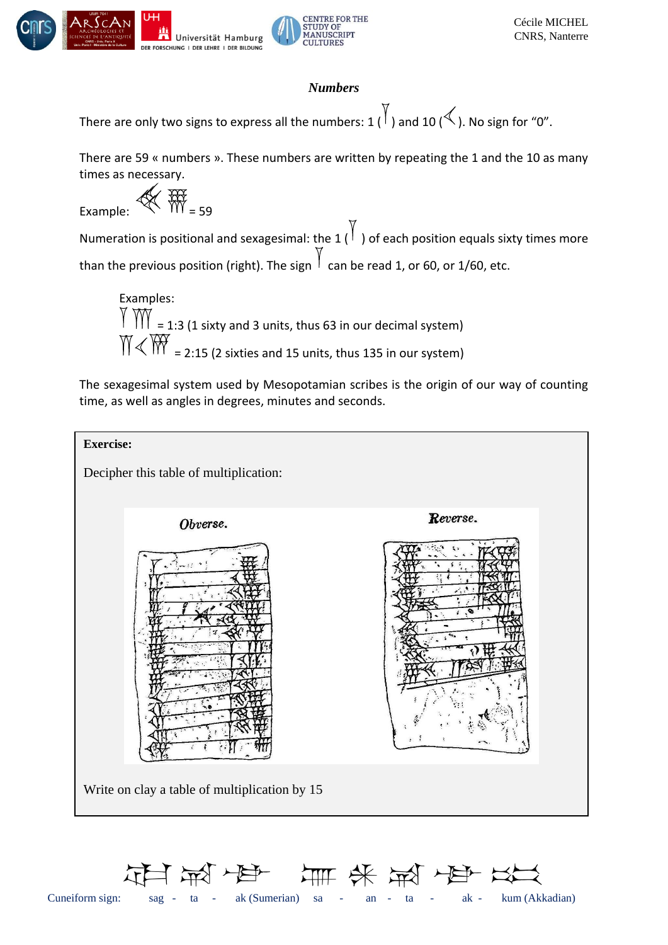



## *Numbers*

There are only two signs to express all the numbers: 1  $\binom{1}{1}$  and 10  $\ll$  ). No sign for "0".

There are 59 « numbers ». These numbers are written by repeating the 1 and the 10 as many times as necessary.

Example: = 59

Numeration is positional and sexagesimal: the 1  $\begin{pmatrix} 1 \\ 1 \end{pmatrix}$  of each position equals sixty times more than the previous position (right). The sign  $\frac{1}{2}$  can be read 1, or 60, or 1/60, etc.

Examples:  $\parallel$   $\parallel$   $\parallel$   $\parallel$  = 1:3 (1 sixty and 3 units, thus 63 in our decimal system)  $\text{M} \leq \text{W}$  = 2:15 (2 sixties and 15 units, thus 135 in our system)

The sexagesimal system used by Mesopotamian scribes is the origin of our way of counting time, as well as angles in degrees, minutes and seconds.